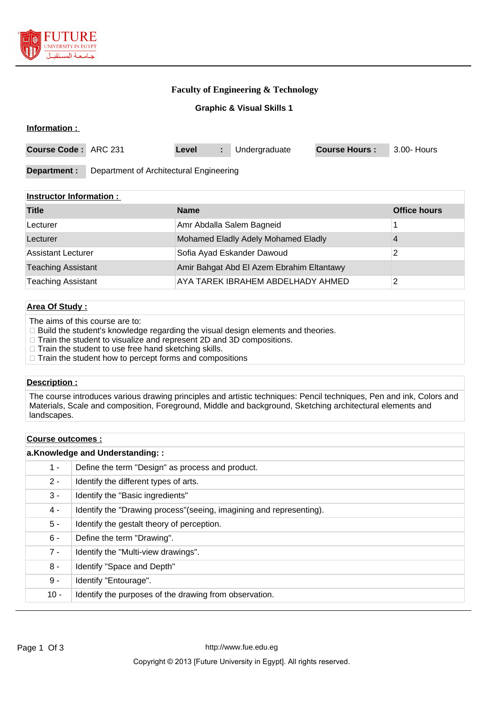

# **Faculty of Engineering & Technology**

**Graphic & Visual Skills 1**

### **Information :**

| Course Code: ARC 231 |                                         | Level |  | Undergraduate | <b>Course Hours:</b> | 3.00- Hours |
|----------------------|-----------------------------------------|-------|--|---------------|----------------------|-------------|
| Department :         | Department of Architectural Engineering |       |  |               |                      |             |

## **Instructor Information :**

| <b>Title</b>              | <b>Name</b>                               | <b>Office hours</b> |
|---------------------------|-------------------------------------------|---------------------|
| Lecturer                  | Amr Abdalla Salem Bagneid                 |                     |
| Lecturer                  | Mohamed Eladly Adely Mohamed Eladly       |                     |
| <b>Assistant Lecturer</b> | Sofia Ayad Eskander Dawoud                |                     |
| <b>Teaching Assistant</b> | Amir Bahgat Abd El Azem Ebrahim Eltantawy |                     |
| <b>Teaching Assistant</b> | AYA TAREK IBRAHEM ABDELHADY AHMED         |                     |

# **Area Of Study :**

The aims of this course are to:

□ Build the student's knowledge regarding the visual design elements and theories.

- □ Train the student to visualize and represent 2D and 3D compositions.
- $\Box$  Train the student to use free hand sketching skills.
- $\Box$  Train the student how to percept forms and compositions

### **Description :**

The course introduces various drawing principles and artistic techniques: Pencil techniques, Pen and ink, Colors and Materials, Scale and composition, Foreground, Middle and background, Sketching architectural elements and landscapes.

# **Course outcomes : a.Knowledge and Understanding: :** 1 - Define the term "Design" as process and product. 2 - **Identify the different types of arts.** 3 - Identify the "Basic ingredients" 4 - Identify the "Drawing process"(seeing, imagining and representing). 5 - Identify the gestalt theory of perception. 6 - Define the term "Drawing". 7 - | Identify the "Multi-view drawings". 8 - | Identify "Space and Depth" 9 - | Identify "Entourage". 10 - | Identify the purposes of the drawing from observation.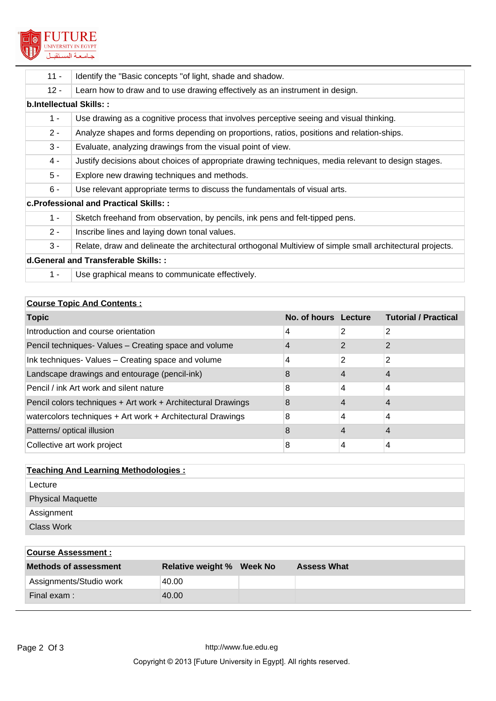

| $11 -$                                 | Identify the "Basic concepts "of light, shade and shadow.                                                 |  |  |  |  |
|----------------------------------------|-----------------------------------------------------------------------------------------------------------|--|--|--|--|
| $12 -$                                 | Learn how to draw and to use drawing effectively as an instrument in design.                              |  |  |  |  |
| b.Intellectual Skills::                |                                                                                                           |  |  |  |  |
| $1 -$                                  | Use drawing as a cognitive process that involves perceptive seeing and visual thinking.                   |  |  |  |  |
| $2 -$                                  | Analyze shapes and forms depending on proportions, ratios, positions and relation-ships.                  |  |  |  |  |
| $3 -$                                  | Evaluate, analyzing drawings from the visual point of view.                                               |  |  |  |  |
| $4 -$                                  | Justify decisions about choices of appropriate drawing techniques, media relevant to design stages.       |  |  |  |  |
| $5 -$                                  | Explore new drawing techniques and methods.                                                               |  |  |  |  |
| $6 -$                                  | Use relevant appropriate terms to discuss the fundamentals of visual arts.                                |  |  |  |  |
| c. Professional and Practical Skills:: |                                                                                                           |  |  |  |  |
| $1 -$                                  | Sketch freehand from observation, by pencils, ink pens and felt-tipped pens.                              |  |  |  |  |
| $2 -$                                  | Inscribe lines and laying down tonal values.                                                              |  |  |  |  |
| $3 -$                                  | Relate, draw and delineate the architectural orthogonal Multiview of simple small architectural projects. |  |  |  |  |
| d. General and Transferable Skills::   |                                                                                                           |  |  |  |  |
| $1 -$                                  | Use graphical means to communicate effectively.                                                           |  |  |  |  |

# **Course Topic And Contents :**

| <b>Topic</b>                                                 | No. of hours Lecture |   | <b>Tutorial / Practical</b> |
|--------------------------------------------------------------|----------------------|---|-----------------------------|
| Introduction and course orientation                          | 4                    | 2 | $\overline{2}$              |
| Pencil techniques- Values - Creating space and volume        | 4                    | 2 | 2                           |
| Ink techniques- Values - Creating space and volume           | 4                    | 2 | 2                           |
| Landscape drawings and entourage (pencil-ink)                | 8                    |   | 4                           |
| Pencil / ink Art work and silent nature                      | 8                    | 4 | 4                           |
| Pencil colors techniques + Art work + Architectural Drawings | 8                    | 4 |                             |
| watercolors techniques + Art work + Architectural Drawings   | 8                    | 4 | 4                           |
| Patterns/ optical illusion                                   | 8                    |   | 4                           |
| Collective art work project                                  | 8                    | 4 | 4                           |

| <b>Teaching And Learning Methodologies:</b> |
|---------------------------------------------|
| Lecture                                     |
| <b>Physical Maquette</b>                    |
| Assignment                                  |
| <b>Class Work</b>                           |

| <b>Course Assessment:</b>    |                                  |                    |
|------------------------------|----------------------------------|--------------------|
| <b>Methods of assessment</b> | <b>Relative weight % Week No</b> | <b>Assess What</b> |
| Assignments/Studio work      | 40.00                            |                    |
| Final exam:                  | 40.00                            |                    |